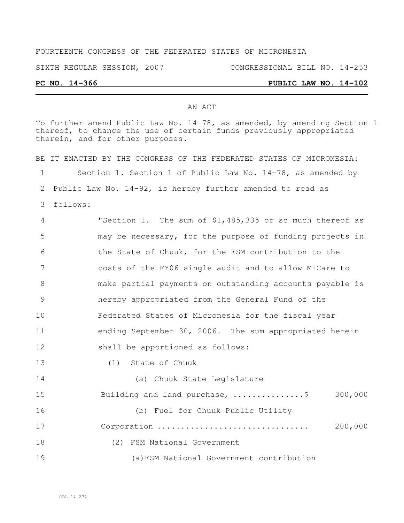### FOURTEENTH CONGRESS OF THE FEDERATED STATES OF MICRONESIA

SIXTH REGULAR SESSION, 2007 CONGRESSIONAL BILL NO. 14-253

## **PC NO. 14-366 PUBLIC LAW NO. 14-102**

#### AN ACT

To further amend Public Law No. 14-78, as amended, by amending Section 1 thereof, to change the use of certain funds previously appropriated therein, and for other purposes. BE IT ENACTED BY THE CONGRESS OF THE FEDERATED STATES OF MICRONESIA: Section 1. Section 1 of Public Law No. 14-78, as amended by Public Law No. 14-92, is hereby further amended to read as follows: "Section 1. The sum of \$1,485,335 or so much thereof as may be necessary, for the purpose of funding projects in the State of Chuuk, for the FSM contribution to the costs of the FY06 single audit and to allow MiCare to make partial payments on outstanding accounts payable is hereby appropriated from the General Fund of the Federated States of Micronesia for the fiscal year ending September 30, 2006. The sum appropriated herein shall be apportioned as follows: (1) State of Chuuk (a) Chuuk State Legislature 15 Building and land purchase, .................\$ 300,000 (b) Fuel for Chuuk Public Utility Corporation ................................ 200,000 (2) FSM National Government (a)FSM National Government contribution